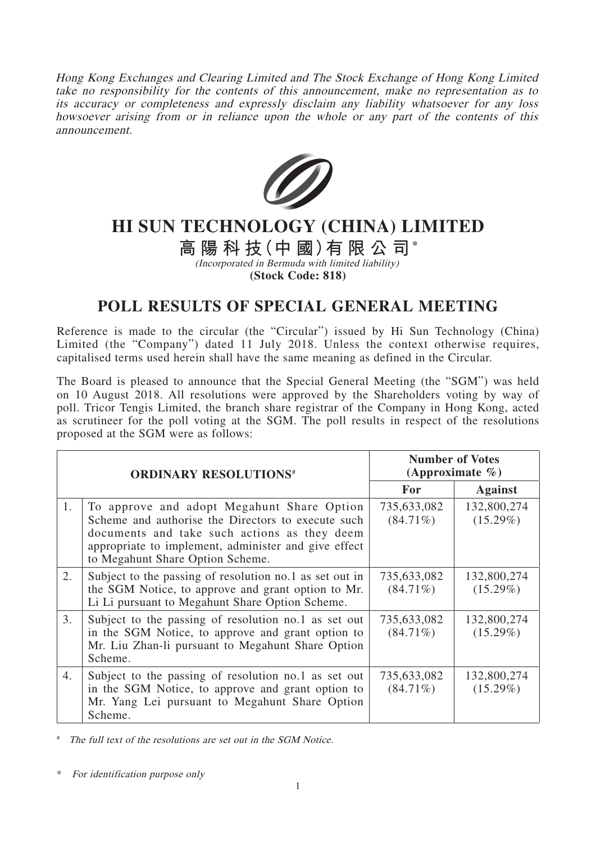Hong Kong Exchanges and Clearing Limited and The Stock Exchange of Hong Kong Limited take no responsibility for the contents of this announcement, make no representation as to its accuracy or completeness and expressly disclaim any liability whatsoever for any loss howsoever arising from or in reliance upon the whole or any part of the contents of this announcement.



## **HI SUN TECHNOLOGY (CHINA) LIMITED**

**高陽科技(中 國)有限公司\***

(Incorporated in Bermuda with limited liability)

**(Stock Code: 818)**

## **POLL RESULTS OF SPECIAL GENERAL MEETING**

Reference is made to the circular (the "Circular") issued by Hi Sun Technology (China) Limited (the "Company") dated 11 July 2018. Unless the context otherwise requires, capitalised terms used herein shall have the same meaning as defined in the Circular.

The Board is pleased to announce that the Special General Meeting (the "SGM") was held on 10 August 2018. All resolutions were approved by the Shareholders voting by way of poll. Tricor Tengis Limited, the branch share registrar of the Company in Hong Kong, acted as scrutineer for the poll voting at the SGM. The poll results in respect of the resolutions proposed at the SGM were as follows:

| <b>ORDINARY RESOLUTIONS#</b> |                                                                                                                                                                                                                                              | <b>Number of Votes</b><br>(Approximate $\%$ ) |                            |
|------------------------------|----------------------------------------------------------------------------------------------------------------------------------------------------------------------------------------------------------------------------------------------|-----------------------------------------------|----------------------------|
|                              |                                                                                                                                                                                                                                              | <b>For</b>                                    | <b>Against</b>             |
| 1.                           | To approve and adopt Megahunt Share Option<br>Scheme and authorise the Directors to execute such<br>documents and take such actions as they deem<br>appropriate to implement, administer and give effect<br>to Megahunt Share Option Scheme. | 735,633,082<br>$(84.71\%)$                    | 132,800,274<br>$(15.29\%)$ |
| 2.                           | Subject to the passing of resolution no.1 as set out in<br>the SGM Notice, to approve and grant option to Mr.<br>Li Li pursuant to Megahunt Share Option Scheme.                                                                             | 735,633,082<br>$(84.71\%)$                    | 132,800,274<br>$(15.29\%)$ |
| 3.                           | Subject to the passing of resolution no.1 as set out<br>in the SGM Notice, to approve and grant option to<br>Mr. Liu Zhan-li pursuant to Megahunt Share Option<br>Scheme.                                                                    | 735,633,082<br>$(84.71\%)$                    | 132,800,274<br>$(15.29\%)$ |
| 4.                           | Subject to the passing of resolution no.1 as set out<br>in the SGM Notice, to approve and grant option to<br>Mr. Yang Lei pursuant to Megahunt Share Option<br>Scheme.                                                                       | 735,633,082<br>$(84.71\%)$                    | 132,800,274<br>$(15.29\%)$ |

# The full text of the resolutions are set out in the SGM Notice.

\* For identification purpose only